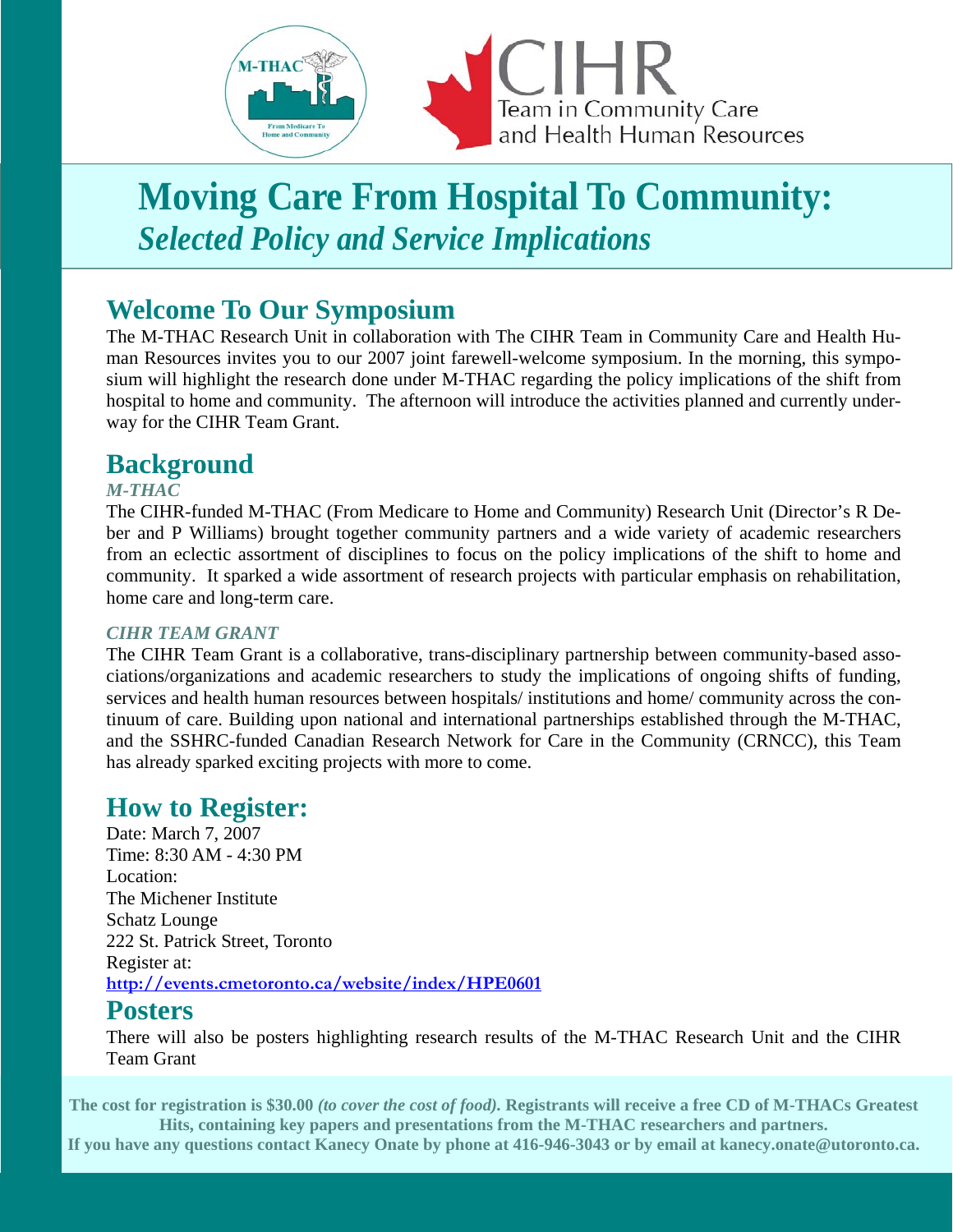

# **Moving Care From Hospital To Community:**  *Selected Policy and Service Implications*

# **Welcome To Our Symposium**

The M-THAC Research Unit in collaboration with The CIHR Team in Community Care and Health Human Resources invites you to our 2007 joint farewell-welcome symposium. In the morning, this symposium will highlight the research done under M-THAC regarding the policy implications of the shift from hospital to home and community. The afternoon will introduce the activities planned and currently underway for the CIHR Team Grant.

## **Background**

#### *M-THAC*

The CIHR-funded M-THAC (From Medicare to Home and Community) Research Unit (Director's R Deber and P Williams) brought together community partners and a wide variety of academic researchers from an eclectic assortment of disciplines to focus on the policy implications of the shift to home and community. It sparked a wide assortment of research projects with particular emphasis on rehabilitation, home care and long-term care.

#### *CIHR TEAM GRANT*

The CIHR Team Grant is a collaborative, trans-disciplinary partnership between community-based associations/organizations and academic researchers to study the implications of ongoing shifts of funding, services and health human resources between hospitals/ institutions and home/ community across the continuum of care. Building upon national and international partnerships established through the M-THAC, and the SSHRC-funded Canadian Research Network for Care in the Community (CRNCC), this Team has already sparked exciting projects with more to come.

# **How to Register:**

Date: March 7, 2007 Time: 8:30 AM - 4:30 PM Location: The Michener Institute Schatz Lounge 222 St. Patrick Street, Toronto Register at: **http://events.cmetoronto.ca/website/index/HPE0601**

#### **Posters**

There will also be posters highlighting research results of the M-THAC Research Unit and the CIHR Team Grant

**The cost for registration is \$30.00** *(to cover the cost of food).* **Registrants will receive a free CD of M-THACs Greatest Hits, containing key papers and presentations from the M-THAC researchers and partners.**

**If you have any questions contact Kanecy Onate by phone at 416-946-3043 or by email at kanecy.onate@utoronto.ca.**